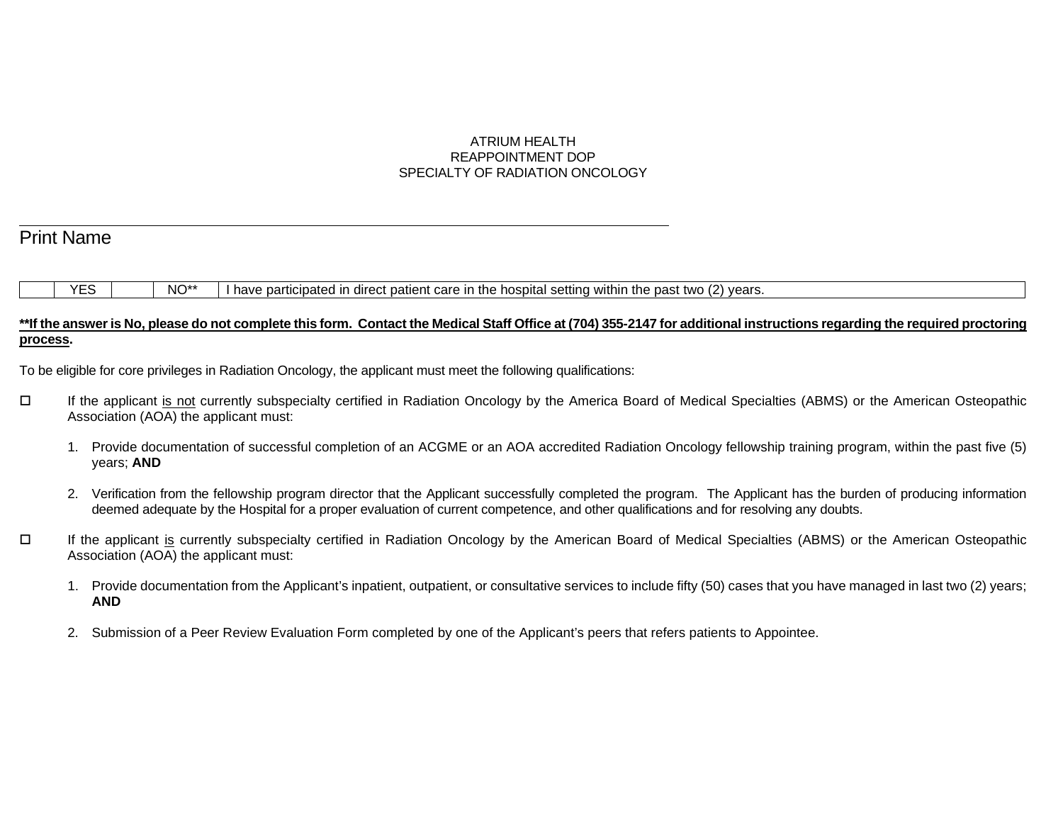# ATRIUM HEALTH REAPPOINTMENT DOP SPECIALTY OF RADIATION ONCOLOGY

# Print Name

l

## YES NO\*\* I have participated in direct patient care in the hospital setting within the past two (2) years.

#### **\*\*If the answer is No, please do not complete this form. Contact the Medical Staff Office at (704) 355-2147 for additional instructions regarding the required proctoring process.**

To be eligible for core privileges in Radiation Oncology, the applicant must meet the following qualifications:

- If the applicant is not currently subspecialty certified in Radiation Oncology by the America Board of Medical Specialties (ABMS) or the American Osteopathic Association (AOA) the applicant must:
	- 1. Provide documentation of successful completion of an ACGME or an AOA accredited Radiation Oncology fellowship training program, within the past five (5) years; **AND**
	- 2. Verification from the fellowship program director that the Applicant successfully completed the program. The Applicant has the burden of producing information deemed adequate by the Hospital for a proper evaluation of current competence, and other qualifications and for resolving any doubts.
- If the applicant is currently subspecialty certified in Radiation Oncology by the American Board of Medical Specialties (ABMS) or the American Osteopathic Association (AOA) the applicant must:
	- 1. Provide documentation from the Applicant's inpatient, outpatient, or consultative services to include fifty (50) cases that you have managed in last two (2) years; **AND**
	- 2. Submission of a Peer Review Evaluation Form completed by one of the Applicant's peers that refers patients to Appointee.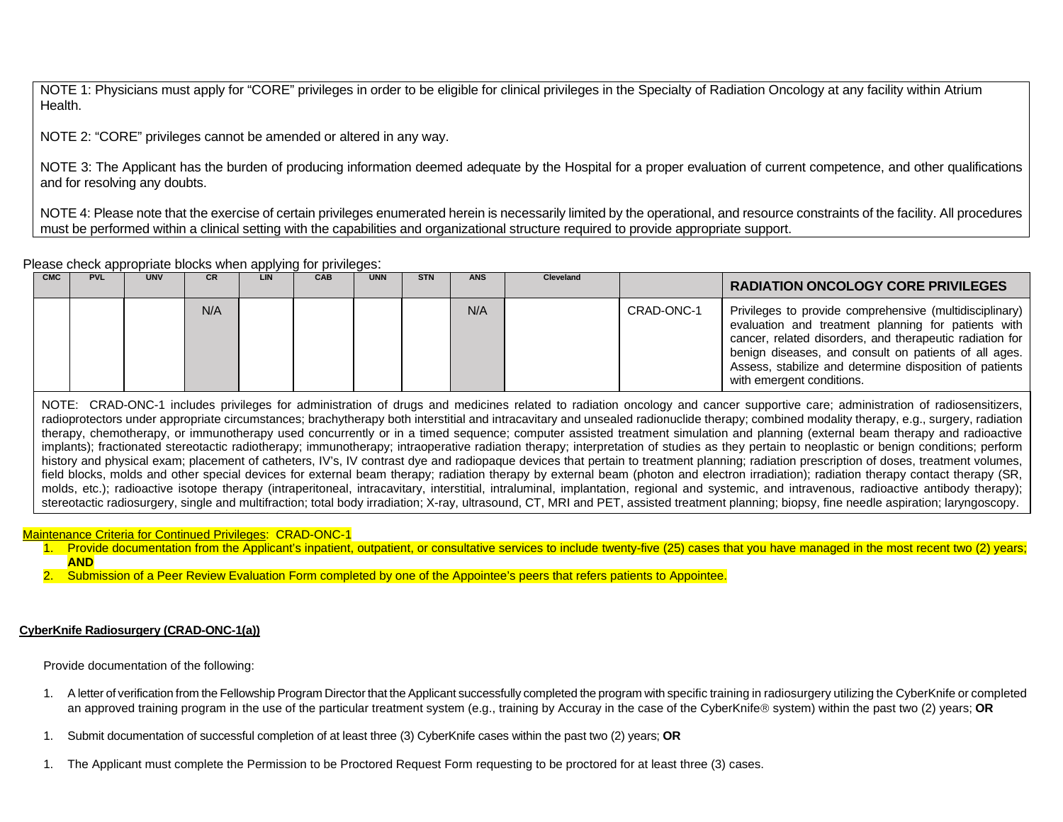NOTE 1: Physicians must apply for "CORE" privileges in order to be eligible for clinical privileges in the Specialty of Radiation Oncology at any facility within Atrium Health.

NOTE 2: "CORE" privileges cannot be amended or altered in any way.

NOTE 3: The Applicant has the burden of producing information deemed adequate by the Hospital for a proper evaluation of current competence, and other qualifications and for resolving any doubts.

NOTE 4: Please note that the exercise of certain privileges enumerated herein is necessarily limited by the operational, and resource constraints of the facility. All procedures must be performed within a clinical setting with the capabilities and organizational structure required to provide appropriate support.

Please check appropriate blocks when applying for privileges:

|            |            |            |           | .   |            |            |            |            |                  |            |                                                                                                                                                                                                                                                                                                                             |
|------------|------------|------------|-----------|-----|------------|------------|------------|------------|------------------|------------|-----------------------------------------------------------------------------------------------------------------------------------------------------------------------------------------------------------------------------------------------------------------------------------------------------------------------------|
| <b>CMC</b> | <b>PVL</b> | <b>UNV</b> | <b>CR</b> | LIN | <b>CAB</b> | <b>UNN</b> | <b>STN</b> | <b>ANS</b> | <b>Cleveland</b> |            | <b>RADIATION ONCOLOGY CORE PRIVILEGES</b>                                                                                                                                                                                                                                                                                   |
|            |            |            | N/A       |     |            |            |            | N/A        |                  | CRAD-ONC-1 | Privileges to provide comprehensive (multidisciplinary)<br>evaluation and treatment planning for patients with<br>cancer, related disorders, and therapeutic radiation for<br>benign diseases, and consult on patients of all ages.<br>Assess, stabilize and determine disposition of patients<br>with emergent conditions. |

NOTE: CRAD-ONC-1 includes privileges for administration of drugs and medicines related to radiation oncology and cancer supportive care; administration of radiosensitizers, radioprotectors under appropriate circumstances; brachytherapy both interstitial and intracavitary and unsealed radionuclide therapy; combined modality therapy, e.g., surgery, radiation therapy, chemotherapy, or immunotherapy used concurrently or in a timed sequence; computer assisted treatment simulation and planning (external beam therapy and radioactive implants); fractionated stereotactic radiotherapy; immunotherapy; intraoperative radiation therapy; interpretation of studies as they pertain to neoplastic or benign conditions; perform history and physical exam; placement of catheters, IV's, IV contrast dye and radiopaque devices that pertain to treatment planning; radiation prescription of doses, treatment volumes, field blocks, molds and other special devices for external beam therapy; radiation therapy by external beam (photon and electron irradiation); radiation therapy contact therapy (SR, molds, etc.); radioactive isotope therapy (intraperitoneal, intracavitary, interstitial, intraluminal, implantation, regional and systemic, and intravenous, radioactive antibody therapy); stereotactic radiosurgery, single and multifraction; total body irradiation; X-ray, ultrasound, CT, MRI and PET, assisted treatment planning; biopsy, fine needle aspiration; laryngoscopy.

Maintenance Criteria for Continued Privileges: CRAD-ONC-1

1. Provide documentation from the Applicant's inpatient, outpatient, or consultative services to include twenty-five (25) cases that you have managed in the most recent two (2) years; **AND**

2. Submission of a Peer Review Evaluation Form completed by one of the Appointee's peers that refers patients to Appointee.

#### **CyberKnife Radiosurgery (CRAD-ONC-1(a))**

Provide documentation of the following:

- 1. A letter of verification from the Fellowship Program Director that the Applicant successfully completed the program with specific training in radiosurgery utilizing the CyberKnife or completed an approved training program in the use of the particular treatment system (e.g., training by Accuray in the case of the CyberKnife system) within the past two (2) years; **OR**
- 1. Submit documentation of successful completion of at least three (3) CyberKnife cases within the past two (2) years; **OR**
- 1. The Applicant must complete the Permission to be Proctored Request Form requesting to be proctored for at least three (3) cases.